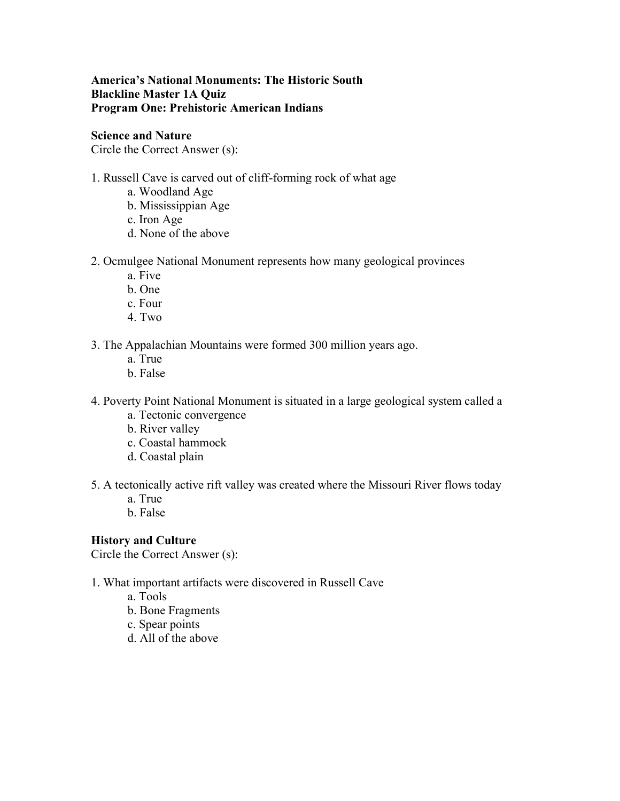# **America's National Monuments: The Historic South Blackline Master 1A Quiz Program One: Prehistoric American Indians**

## **Science and Nature**

Circle the Correct Answer (s):

# 1. Russell Cave is carved out of cliff-forming rock of what age

- a. Woodland Age
- b. Mississippian Age
- c. Iron Age
- d. None of the above
- 2. Ocmulgee National Monument represents how many geological provinces
	- a. Five
	- b. One
	- c. Four
	- 4. Two

3. The Appalachian Mountains were formed 300 million years ago.

- a. True
- b. False
- 4. Poverty Point National Monument is situated in a large geological system called a
	- a. Tectonic convergence
	- b. River valley
	- c. Coastal hammock
	- d. Coastal plain
- 5. A tectonically active rift valley was created where the Missouri River flows today
	- a. True
	- b. False

# **History and Culture**

Circle the Correct Answer (s):

- 1. What important artifacts were discovered in Russell Cave
	- a. Tools
	- b. Bone Fragments
	- c. Spear points
	- d. All of the above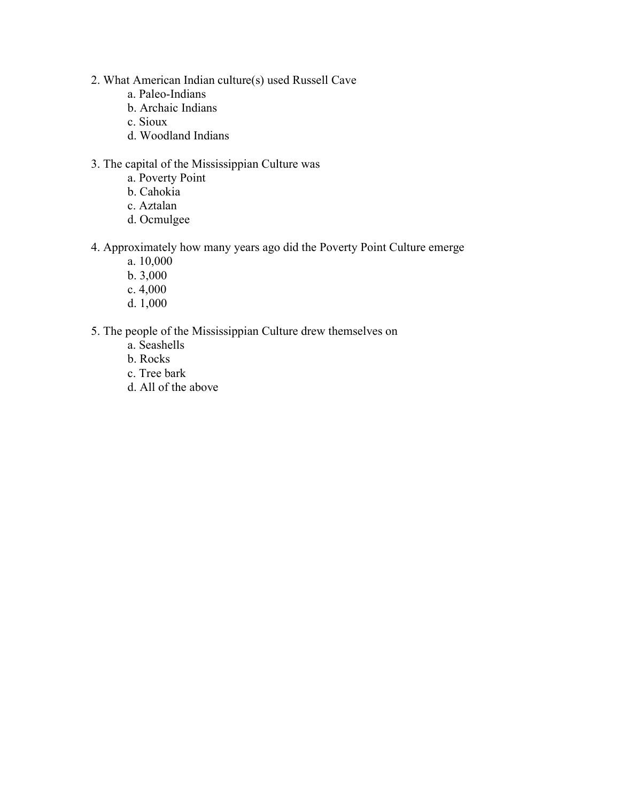- 2. What American Indian culture(s) used Russell Cave
	- a. Paleo-Indians
	- b. Archaic Indians
	- c. Sioux
	- d. Woodland Indians
- 3. The capital of the Mississippian Culture was
	- a. Poverty Point
	- b. Cahokia
	- c. Aztalan
	- d. Ocmulgee
- 4. Approximately how many years ago did the Poverty Point Culture emerge
	- a. 10,000
	- b. 3,000
	- c. 4,000
	- d. 1,000
- 5. The people of the Mississippian Culture drew themselves on
	- a. Seashells
	- b. Rocks
	- c. Tree bark
	- d. All of the above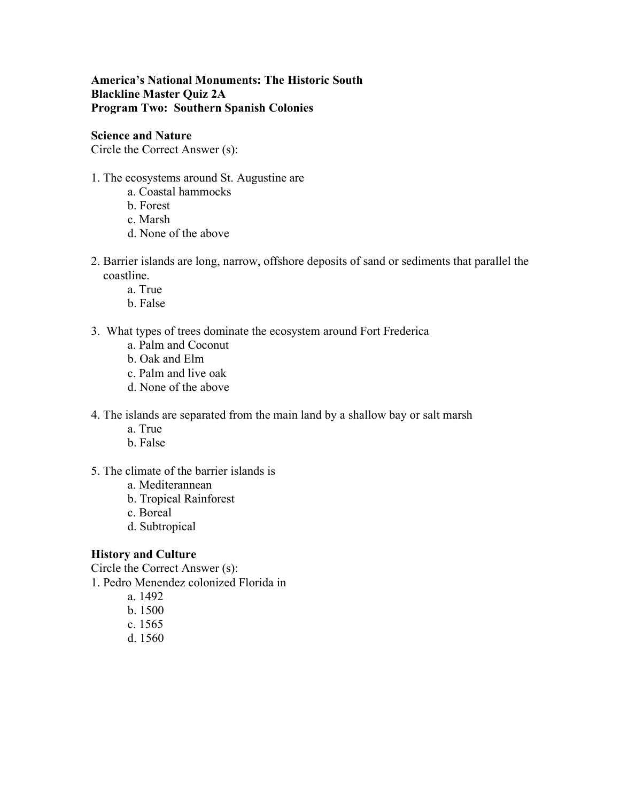**America's National Monuments: The Historic South Blackline Master Quiz 2A Program Two: Southern Spanish Colonies**

**Science and Nature**

Circle the Correct Answer (s):

## 1. The ecosystems around St. Augustine are

- a. Coastal hammocks
- b. Forest
- c. Marsh
- d. None of the above
- 2. Barrier islands are long, narrow, offshore deposits of sand or sediments that parallel the coastline.
	- a. True
	- b. False
- 3. What types of trees dominate the ecosystem around Fort Frederica
	- a. Palm and Coconut
	- b. Oak and Elm
	- c. Palm and live oak
	- d. None of the above
- 4. The islands are separated from the main land by a shallow bay or salt marsh
	- a. True
	- b. False
- 5. The climate of the barrier islands is
	- a. Mediterannean
	- b. Tropical Rainforest
	- c. Boreal
	- d. Subtropical

# **History and Culture**

Circle the Correct Answer (s): 1. Pedro Menendez colonized Florida in

- a. 1492
- b. 1500
- c. 1565
- d. 1560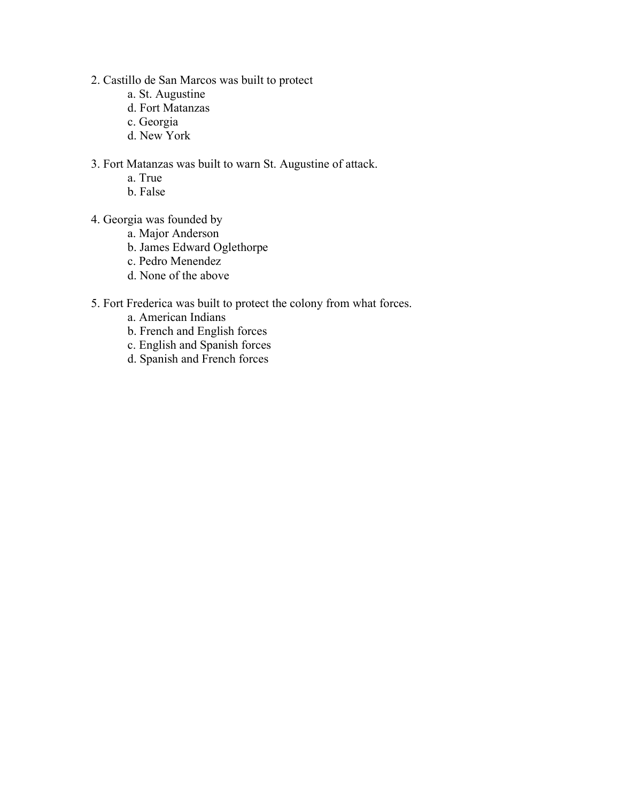- 2. Castillo de San Marcos was built to protect
	- a. St. Augustine
	- d. Fort Matanzas
	- c. Georgia
	- d. New York
- 3. Fort Matanzas was built to warn St. Augustine of attack.
	- a. True
	- b. False
- 4. Georgia was founded by
	- a. Major Anderson
	- b. James Edward Oglethorpe
	- c. Pedro Menendez
	- d. None of the above
- 5. Fort Frederica was built to protect the colony from what forces.
	- a. American Indians
	- b. French and English forces
	- c. English and Spanish forces
	- d. Spanish and French forces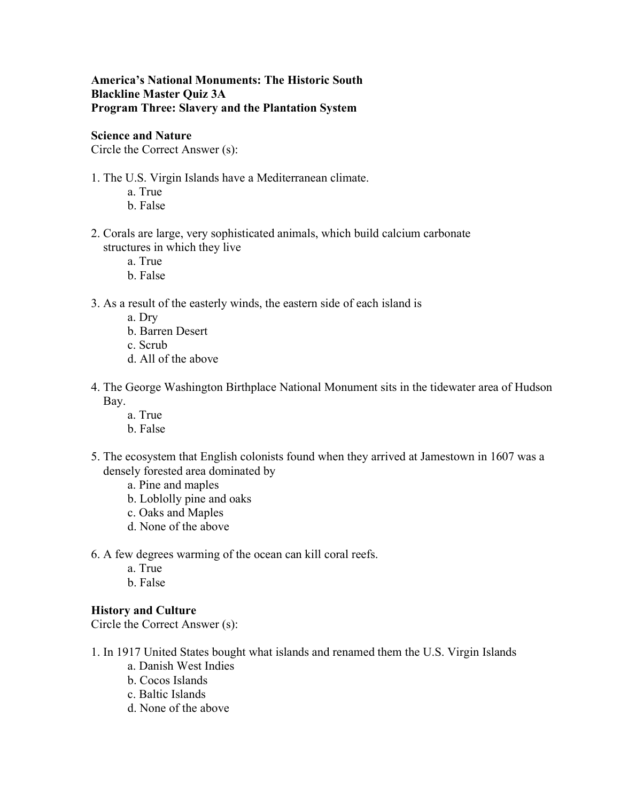# **America's National Monuments: The Historic South Blackline Master Quiz 3A Program Three: Slavery and the Plantation System**

## **Science and Nature**

Circle the Correct Answer (s):

- 1. The U.S. Virgin Islands have a Mediterranean climate.
	- a. True
	- b. False
- 2. Corals are large, very sophisticated animals, which build calcium carbonate structures in which they live
	- a. True
	- b. False
- 3. As a result of the easterly winds, the eastern side of each island is
	- a. Dry
	- b. Barren Desert
	- c. Scrub
	- d. All of the above
- 4. The George Washington Birthplace National Monument sits in the tidewater area of Hudson Bay.
	- a. True
	- b. False
- 5. The ecosystem that English colonists found when they arrived at Jamestown in 1607 was a densely forested area dominated by
	- a. Pine and maples
	- b. Loblolly pine and oaks
	- c. Oaks and Maples
	- d. None of the above
- 6. A few degrees warming of the ocean can kill coral reefs.
	- a. True
	- b. False

#### **History and Culture**

Circle the Correct Answer (s):

- 1. In 1917 United States bought what islands and renamed them the U.S. Virgin Islands
	- a. Danish West Indies
	- b. Cocos Islands
	- c. Baltic Islands
	- d. None of the above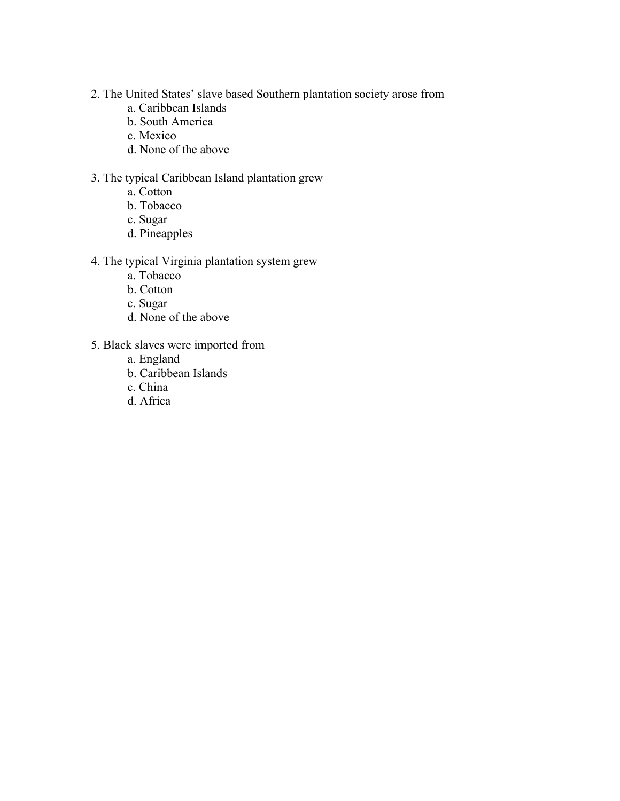- 2. The United States' slave based Southern plantation society arose from
	- a. Caribbean Islands
	- b. South America
	- c. Mexico
	- d. None of the above

# 3. The typical Caribbean Island plantation grew

- a. Cotton
- b. Tobacco
- c. Sugar
- d. Pineapples

# 4. The typical Virginia plantation system grew

- a. Tobacco
- b. Cotton
- c. Sugar
- d. None of the above
- 5. Black slaves were imported from
	- a. England
	- b. Caribbean Islands
	- c. China
	- d. Africa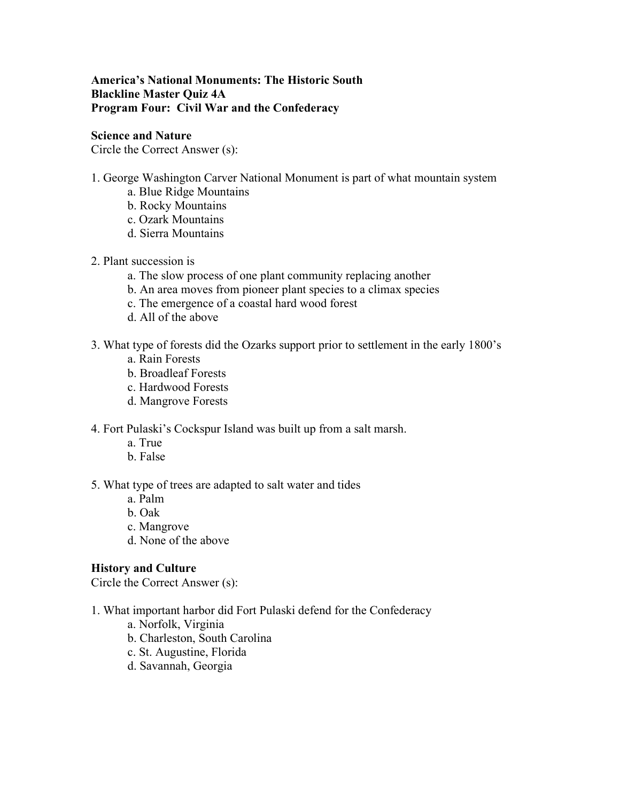# **America's National Monuments: The Historic South Blackline Master Quiz 4A Program Four: Civil War and the Confederacy**

## **Science and Nature**

Circle the Correct Answer (s):

- 1. George Washington Carver National Monument is part of what mountain system
	- a. Blue Ridge Mountains
	- b. Rocky Mountains
	- c. Ozark Mountains
	- d. Sierra Mountains
- 2. Plant succession is
	- a. The slow process of one plant community replacing another
	- b. An area moves from pioneer plant species to a climax species
	- c. The emergence of a coastal hard wood forest
	- d. All of the above
- 3. What type of forests did the Ozarks support prior to settlement in the early 1800's
	- a. Rain Forests
	- b. Broadleaf Forests
	- c. Hardwood Forests
	- d. Mangrove Forests
- 4. Fort Pulaski's Cockspur Island was built up from a salt marsh.
	- a. True
	- b. False

#### 5. What type of trees are adapted to salt water and tides

- a. Palm
- b. Oak
- c. Mangrove
- d. None of the above

# **History and Culture**

Circle the Correct Answer (s):

1. What important harbor did Fort Pulaski defend for the Confederacy

- a. Norfolk, Virginia
- b. Charleston, South Carolina
- c. St. Augustine, Florida
- d. Savannah, Georgia